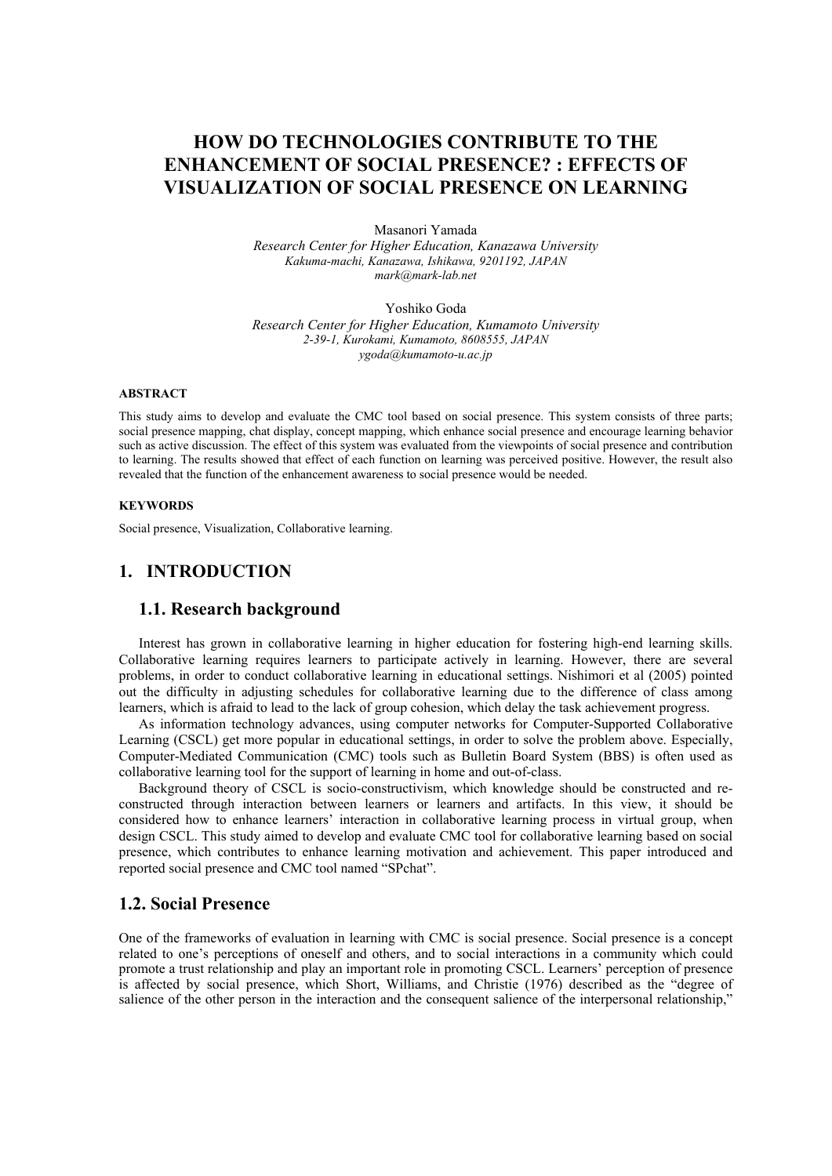# **HOW DO TECHNOLOGIES CONTRIBUTE TO THE ENHANCEMENT OF SOCIAL PRESENCE? : EFFECTS OF VISUALIZATION OF SOCIAL PRESENCE ON LEARNING**

Masanori Yamada

*Research Center for Higher Education, Kanazawa University Kakuma-machi, Kanazawa, Ishikawa, 9201192, JAPAN mark@mark-lab.net* 

Yoshiko Goda

*Research Center for Higher Education, Kumamoto University 2-39-1, Kurokami, Kumamoto, 8608555, JAPAN ygoda@kumamoto-u.ac.jp* 

#### **ABSTRACT**

This study aims to develop and evaluate the CMC tool based on social presence. This system consists of three parts; social presence mapping, chat display, concept mapping, which enhance social presence and encourage learning behavior such as active discussion. The effect of this system was evaluated from the viewpoints of social presence and contribution to learning. The results showed that effect of each function on learning was perceived positive. However, the result also revealed that the function of the enhancement awareness to social presence would be needed.

#### **KEYWORDS**

Social presence, Visualization, Collaborative learning.

# **1. INTRODUCTION**

#### **1.1. Research background**

Interest has grown in collaborative learning in higher education for fostering high-end learning skills. Collaborative learning requires learners to participate actively in learning. However, there are several problems, in order to conduct collaborative learning in educational settings. Nishimori et al (2005) pointed out the difficulty in adjusting schedules for collaborative learning due to the difference of class among learners, which is afraid to lead to the lack of group cohesion, which delay the task achievement progress.

As information technology advances, using computer networks for Computer-Supported Collaborative Learning (CSCL) get more popular in educational settings, in order to solve the problem above. Especially, Computer-Mediated Communication (CMC) tools such as Bulletin Board System (BBS) is often used as collaborative learning tool for the support of learning in home and out-of-class.

Background theory of CSCL is socio-constructivism, which knowledge should be constructed and reconstructed through interaction between learners or learners and artifacts. In this view, it should be considered how to enhance learners' interaction in collaborative learning process in virtual group, when design CSCL. This study aimed to develop and evaluate CMC tool for collaborative learning based on social presence, which contributes to enhance learning motivation and achievement. This paper introduced and reported social presence and CMC tool named "SPchat".

### **1.2. Social Presence**

One of the frameworks of evaluation in learning with CMC is social presence. Social presence is a concept related to one's perceptions of oneself and others, and to social interactions in a community which could promote a trust relationship and play an important role in promoting CSCL. Learners' perception of presence is affected by social presence, which Short, Williams, and Christie (1976) described as the "degree of salience of the other person in the interaction and the consequent salience of the interpersonal relationship,"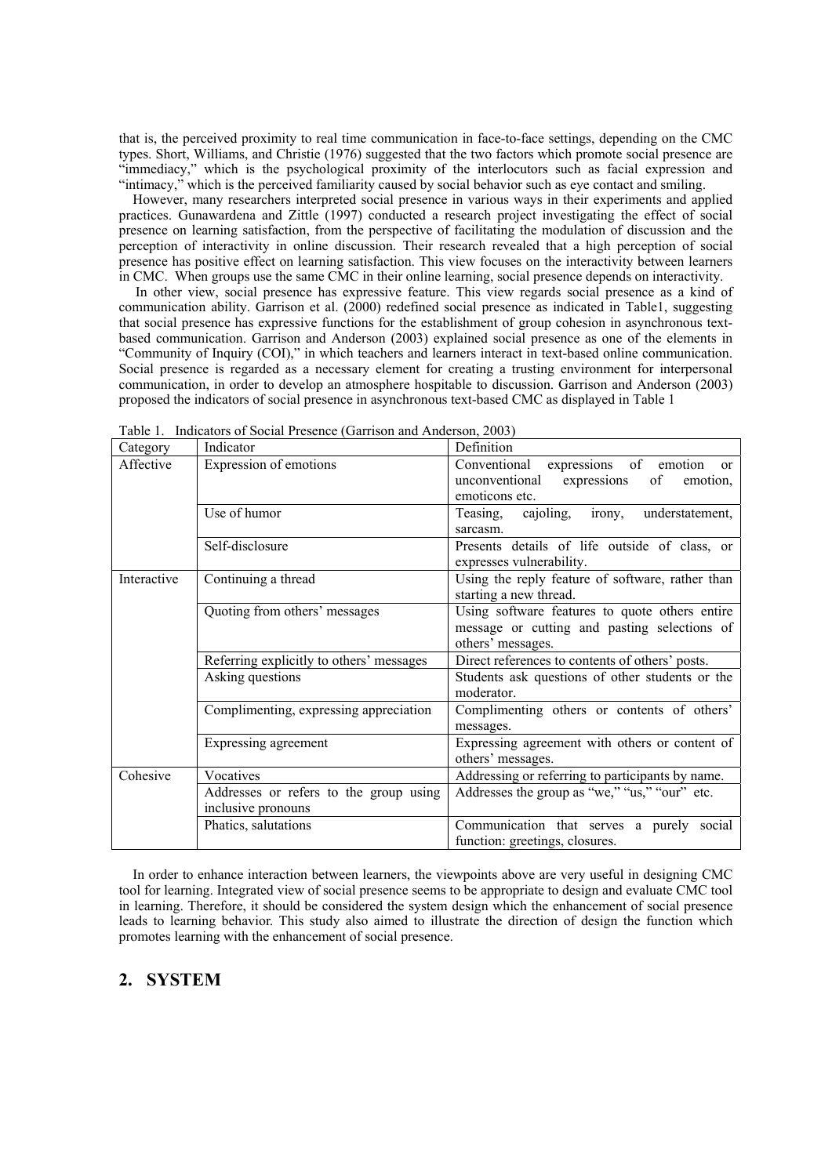that is, the perceived proximity to real time communication in face-to-face settings, depending on the CMC types. Short, Williams, and Christie (1976) suggested that the two factors which promote social presence are "immediacy," which is the psychological proximity of the interlocutors such as facial expression and "intimacy," which is the perceived familiarity caused by social behavior such as eye contact and smiling.

 However, many researchers interpreted social presence in various ways in their experiments and applied practices. Gunawardena and Zittle (1997) conducted a research project investigating the effect of social presence on learning satisfaction, from the perspective of facilitating the modulation of discussion and the perception of interactivity in online discussion. Their research revealed that a high perception of social presence has positive effect on learning satisfaction. This view focuses on the interactivity between learners in CMC. When groups use the same CMC in their online learning, social presence depends on interactivity.

In other view, social presence has expressive feature. This view regards social presence as a kind of communication ability. Garrison et al. (2000) redefined social presence as indicated in Table1, suggesting that social presence has expressive functions for the establishment of group cohesion in asynchronous textbased communication. Garrison and Anderson (2003) explained social presence as one of the elements in "Community of Inquiry (COI)," in which teachers and learners interact in text-based online communication. Social presence is regarded as a necessary element for creating a trusting environment for interpersonal communication, in order to develop an atmosphere hospitable to discussion. Garrison and Anderson (2003) proposed the indicators of social presence in asynchronous text-based CMC as displayed in Table 1

| Category    | Indicator                                | Definition                                                                                                                   |
|-------------|------------------------------------------|------------------------------------------------------------------------------------------------------------------------------|
| Affective   | Expression of emotions                   | expressions of emotion<br>Conventional<br><sub>or</sub><br>of<br>unconventional<br>expressions<br>emotion.<br>emoticons etc. |
|             | Use of humor                             | cajoling, irony, understatement,<br>Teasing,<br>sarcasm.                                                                     |
|             | Self-disclosure                          | Presents details of life outside of class, or<br>expresses vulnerability.                                                    |
| Interactive | Continuing a thread                      | Using the reply feature of software, rather than<br>starting a new thread.                                                   |
|             | Quoting from others' messages            | Using software features to quote others entire<br>message or cutting and pasting selections of<br>others' messages.          |
|             | Referring explicitly to others' messages | Direct references to contents of others' posts.                                                                              |
|             | Asking questions                         | Students ask questions of other students or the<br>moderator.                                                                |
|             | Complimenting, expressing appreciation   | Complimenting others or contents of others'<br>messages.                                                                     |
|             | Expressing agreement                     | Expressing agreement with others or content of<br>others' messages.                                                          |
| Cohesive    | Vocatives                                | Addressing or referring to participants by name.                                                                             |
|             | Addresses or refers to the group using   | Addresses the group as "we," "us," "our" etc.                                                                                |
|             | inclusive pronouns                       |                                                                                                                              |
|             | Phatics, salutations                     | Communication that serves a purely social                                                                                    |
|             |                                          | function: greetings, closures.                                                                                               |

Table 1. Indicators of Social Presence (Garrison and Anderson, 2003)

 In order to enhance interaction between learners, the viewpoints above are very useful in designing CMC tool for learning. Integrated view of social presence seems to be appropriate to design and evaluate CMC tool in learning. Therefore, it should be considered the system design which the enhancement of social presence leads to learning behavior. This study also aimed to illustrate the direction of design the function which promotes learning with the enhancement of social presence.

### **2. SYSTEM**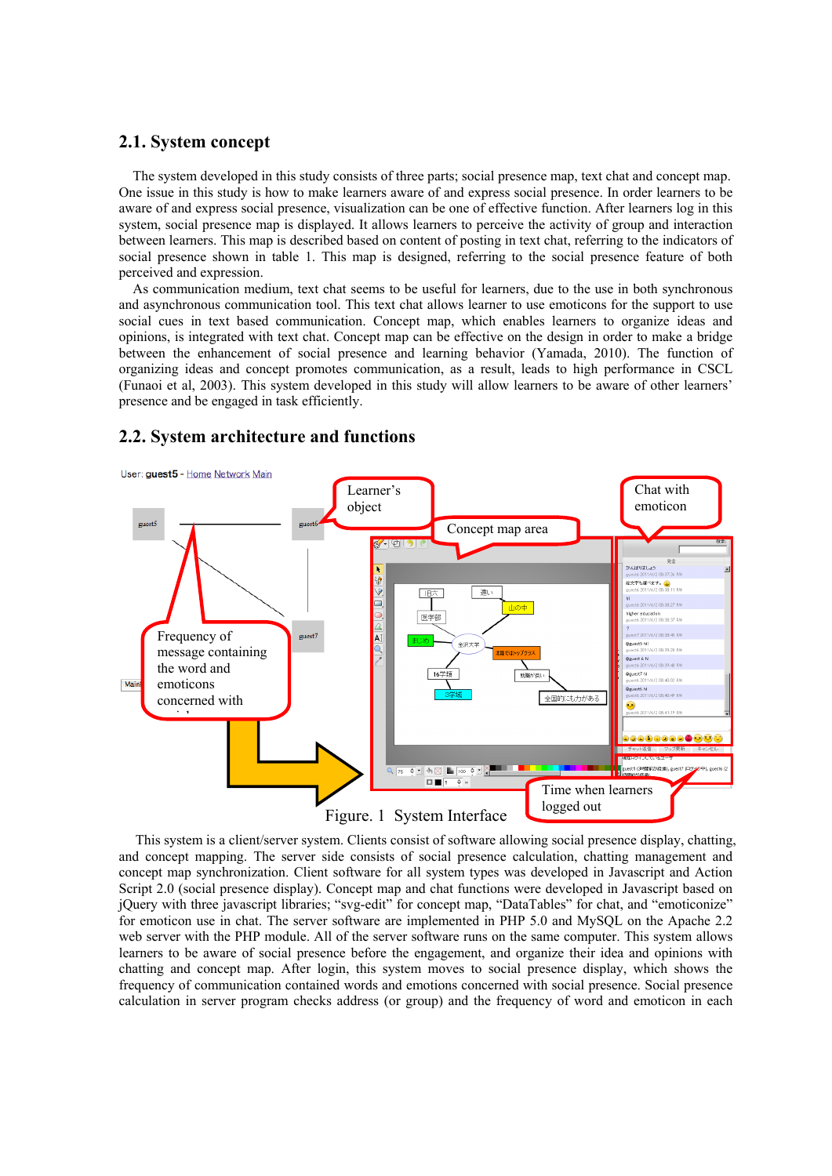## **2.1. System concept**

The system developed in this study consists of three parts; social presence map, text chat and concept map. One issue in this study is how to make learners aware of and express social presence. In order learners to be aware of and express social presence, visualization can be one of effective function. After learners log in this system, social presence map is displayed. It allows learners to perceive the activity of group and interaction between learners. This map is described based on content of posting in text chat, referring to the indicators of social presence shown in table 1. This map is designed, referring to the social presence feature of both perceived and expression.

As communication medium, text chat seems to be useful for learners, due to the use in both synchronous and asynchronous communication tool. This text chat allows learner to use emoticons for the support to use social cues in text based communication. Concept map, which enables learners to organize ideas and opinions, is integrated with text chat. Concept map can be effective on the design in order to make a bridge between the enhancement of social presence and learning behavior (Yamada, 2010). The function of organizing ideas and concept promotes communication, as a result, leads to high performance in CSCL (Funaoi et al, 2003). This system developed in this study will allow learners to be aware of other learners' presence and be engaged in task efficiently.

## **2.2. System architecture and functions**



This system is a client/server system. Clients consist of software allowing social presence display, chatting, and concept mapping. The server side consists of social presence calculation, chatting management and concept map synchronization. Client software for all system types was developed in Javascript and Action Script 2.0 (social presence display). Concept map and chat functions were developed in Javascript based on jQuery with three javascript libraries; "svg-edit" for concept map, "DataTables" for chat, and "emoticonize" for emoticon use in chat. The server software are implemented in PHP 5.0 and MySQL on the Apache 2.2 web server with the PHP module. All of the server software runs on the same computer. This system allows learners to be aware of social presence before the engagement, and organize their idea and opinions with chatting and concept map. After login, this system moves to social presence display, which shows the frequency of communication contained words and emotions concerned with social presence. Social presence calculation in server program checks address (or group) and the frequency of word and emoticon in each